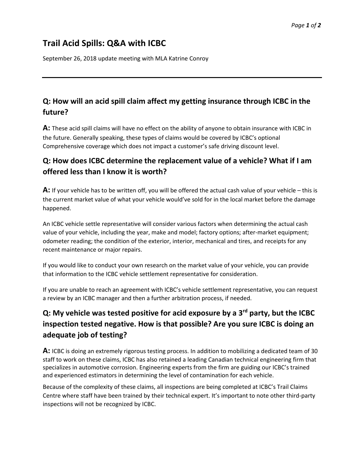# **Trail Acid Spills: Q&A with ICBC**

September 26, 2018 update meeting with MLA Katrine Conroy

#### **Q: How will an acid spill claim affect my getting insurance through ICBC in the future?**

**A:** These acid spill claims will have no effect on the ability of anyone to obtain insurance with ICBC in the future. Generally speaking, these types of claims would be covered by ICBC's optional Comprehensive coverage which does not impact a customer's safe driving discount level.

#### **Q: How does ICBC determine the replacement value of a vehicle? What if I am offered less than I know it is worth?**

**A:** If your vehicle has to be written off, you will be offered the actual cash value of your vehicle – this is the current market value of what your vehicle would've sold for in the local market before the damage happened.

An ICBC vehicle settle representative will consider various factors when determining the actual cash value of your vehicle, including the year, make and model; factory options; after-market equipment; odometer reading; the condition of the exterior, interior, mechanical and tires, and receipts for any recent maintenance or major repairs.

If you would like to conduct your own research on the market value of your vehicle, you can provide that information to the ICBC vehicle settlement representative for consideration.

If you are unable to reach an agreement with ICBC's vehicle settlement representative, you can request a review by an ICBC manager and then a further arbitration process, if needed.

## **Q: My vehicle was tested positive for acid exposure by a 3rd party, but the ICBC inspection tested negative. How is that possible? Are you sure ICBC is doing an adequate job of testing?**

**A:** ICBC is doing an extremely rigorous testing process. In addition to mobilizing a dedicated team of 30 staff to work on these claims, ICBC has also retained a leading Canadian technical engineering firm that specializes in automotive corrosion. Engineering experts from the firm are guiding our ICBC's trained and experienced estimators in determining the level of contamination for each vehicle.

Because of the complexity of these claims, all inspections are being completed at ICBC's Trail Claims Centre where staff have been trained by their technical expert. It's important to note other third-party inspections will not be recognized by ICBC.